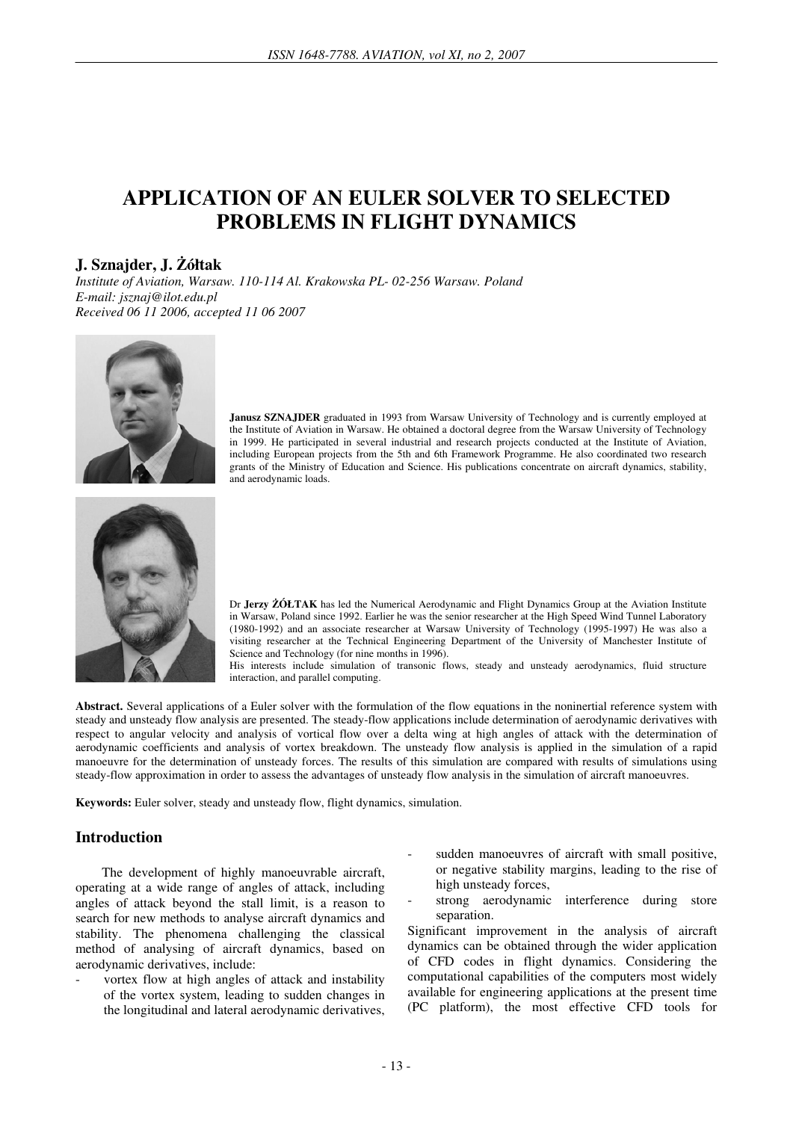# **APPLICATION OF AN EULER SOLVER TO SELECTED PROBLEMS IN FLIGHT DYNAMICS**

### **J. Sznajder, J.** Ż**ółtak**

*Institute of Aviation, Warsaw. 110-114 Al. Krakowska PL- 02-256 Warsaw. Poland E-mail: jsznaj@ilot.edu.pl Received 06 11 2006, accepted 11 06 2007* 



Janusz SZNAJDER graduated in 1993 from Warsaw University of Technology and is currently employed at the Institute of Aviation in Warsaw. He obtained a doctoral degree from the Warsaw University of Technology in 1999. He participated in several industrial and research projects conducted at the Institute of Aviation, including European projects from the 5th and 6th Framework Programme. He also coordinated two research grants of the Ministry of Education and Science. His publications concentrate on aircraft dynamics, stability, and aerodynamic loads.



Dr **Jerzy** Ż**ÓŁTAK** has led the Numerical Aerodynamic and Flight Dynamics Group at the Aviation Institute in Warsaw, Poland since 1992. Earlier he was the senior researcher at the High Speed Wind Tunnel Laboratory (1980-1992) and an associate researcher at Warsaw University of Technology (1995-1997) He was also a visiting researcher at the Technical Engineering Department of the University of Manchester Institute of Science and Technology (for nine months in 1996).

His interests include simulation of transonic flows, steady and unsteady aerodynamics, fluid structure interaction, and parallel computing.

Abstract. Several applications of a Euler solver with the formulation of the flow equations in the noninertial reference system with steady and unsteady flow analysis are presented. The steady-flow applications include determination of aerodynamic derivatives with respect to angular velocity and analysis of vortical flow over a delta wing at high angles of attack with the determination of aerodynamic coefficients and analysis of vortex breakdown. The unsteady flow analysis is applied in the simulation of a rapid manoeuvre for the determination of unsteady forces. The results of this simulation are compared with results of simulations using steady-flow approximation in order to assess the advantages of unsteady flow analysis in the simulation of aircraft manoeuvres.

**Keywords:** Euler solver, steady and unsteady flow, flight dynamics, simulation.

#### **Introduction**

The development of highly manoeuvrable aircraft, operating at a wide range of angles of attack, including angles of attack beyond the stall limit, is a reason to search for new methods to analyse aircraft dynamics and stability. The phenomena challenging the classical method of analysing of aircraft dynamics, based on aerodynamic derivatives, include:

- vortex flow at high angles of attack and instability of the vortex system, leading to sudden changes in the longitudinal and lateral aerodynamic derivatives,
- sudden manoeuvres of aircraft with small positive, or negative stability margins, leading to the rise of high unsteady forces,
- strong aerodynamic interference during store separation.

Significant improvement in the analysis of aircraft dynamics can be obtained through the wider application of CFD codes in flight dynamics. Considering the computational capabilities of the computers most widely available for engineering applications at the present time (PC platform), the most effective CFD tools for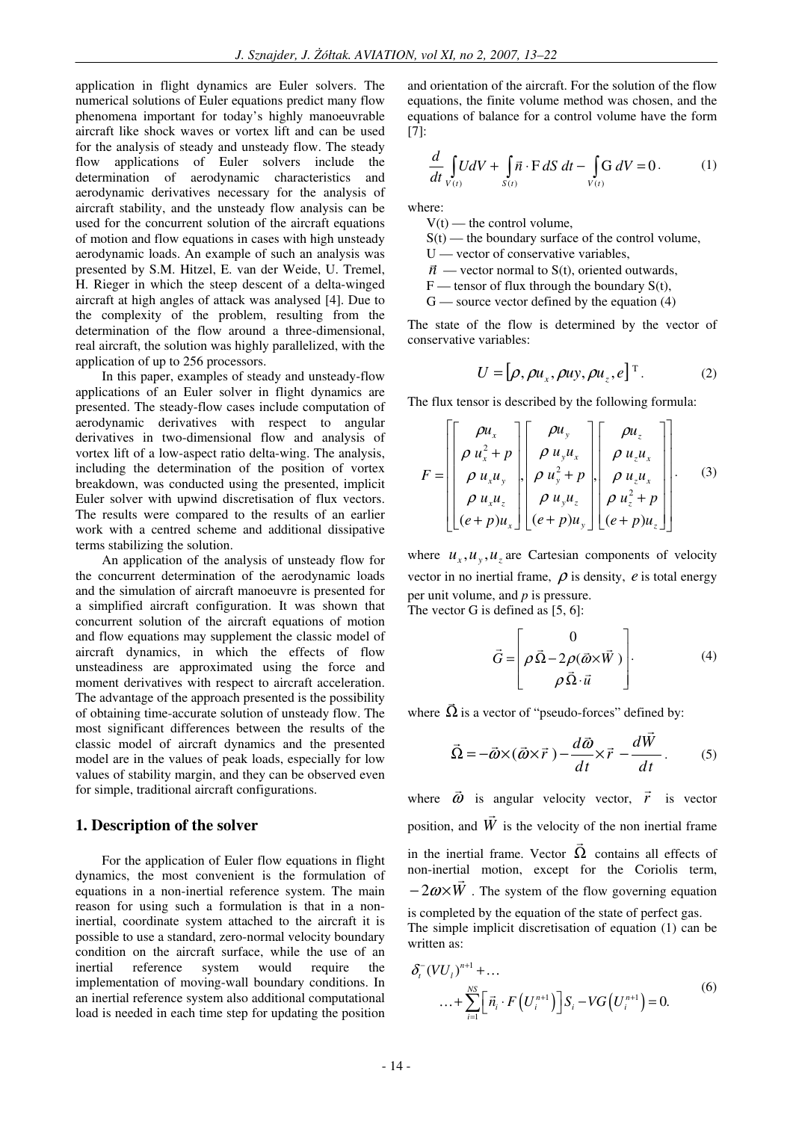application in flight dynamics are Euler solvers. The numerical solutions of Euler equations predict many flow phenomena important for today's highly manoeuvrable aircraft like shock waves or vortex lift and can be used for the analysis of steady and unsteady flow. The steady flow applications of Euler solvers include the determination of aerodynamic characteristics and aerodynamic derivatives necessary for the analysis of aircraft stability, and the unsteady flow analysis can be used for the concurrent solution of the aircraft equations of motion and flow equations in cases with high unsteady aerodynamic loads. An example of such an analysis was presented by S.M. Hitzel, E. van der Weide, U. Tremel, H. Rieger in which the steep descent of a delta-winged aircraft at high angles of attack was analysed [4]. Due to the complexity of the problem, resulting from the determination of the flow around a three-dimensional, real aircraft, the solution was highly parallelized, with the application of up to 256 processors.

In this paper, examples of steady and unsteady-flow applications of an Euler solver in flight dynamics are presented. The steady-flow cases include computation of aerodynamic derivatives with respect to angular derivatives in two-dimensional flow and analysis of vortex lift of a low-aspect ratio delta-wing. The analysis, including the determination of the position of vortex breakdown, was conducted using the presented, implicit Euler solver with upwind discretisation of flux vectors. The results were compared to the results of an earlier work with a centred scheme and additional dissipative terms stabilizing the solution.

An application of the analysis of unsteady flow for the concurrent determination of the aerodynamic loads and the simulation of aircraft manoeuvre is presented for a simplified aircraft configuration. It was shown that concurrent solution of the aircraft equations of motion and flow equations may supplement the classic model of aircraft dynamics, in which the effects of flow unsteadiness are approximated using the force and moment derivatives with respect to aircraft acceleration. The advantage of the approach presented is the possibility of obtaining time-accurate solution of unsteady flow. The most significant differences between the results of the classic model of aircraft dynamics and the presented model are in the values of peak loads, especially for low values of stability margin, and they can be observed even for simple, traditional aircraft configurations.

#### **1. Description of the solver**

For the application of Euler flow equations in flight dynamics, the most convenient is the formulation of equations in a non-inertial reference system. The main reason for using such a formulation is that in a noninertial, coordinate system attached to the aircraft it is possible to use a standard, zero-normal velocity boundary condition on the aircraft surface, while the use of an inertial reference system would require the implementation of moving-wall boundary conditions. In an inertial reference system also additional computational load is needed in each time step for updating the position

and orientation of the aircraft. For the solution of the flow equations, the finite volume method was chosen, and the equations of balance for a control volume have the form [7]:

$$
\frac{d}{dt} \int\limits_{V(t)} UdV + \int\limits_{S(t)} \vec{n} \cdot \mathbf{F} \, dS \, dt - \int\limits_{V(t)} \mathbf{G} \, dV = 0. \tag{1}
$$

where:

 $\overline{a}$ 

- $V(t)$  the control volume,
- $S(t)$  the boundary surface of the control volume,
- $U$  vector of conservative variables,
- $\vec{n}$  vector normal to S(t), oriented outwards,
- $F$  tensor of flux through the boundary  $S(t)$ ,
- $G$  source vector defined by the equation  $(4)$

The state of the flow is determined by the vector of conservative variables:

$$
U = [\rho, \rho u_x, \rho u_y, \rho u_z, e]^\mathrm{T}.
$$
 (2)

The flux tensor is described by the following formula:

 $=$   $=$ 

$$
F = \begin{bmatrix} \rho u_x \\ \rho u_x^2 + p \\ \rho u_x u_y \\ \rho u_x u_z \\ \rho u_x u_z \end{bmatrix}, \begin{bmatrix} \rho u_y \\ \rho u_y u_x \\ \rho u_y^2 + p \\ \rho u_y u_z \\ \rho u_y u_z \end{bmatrix}, \begin{bmatrix} \rho u_z \\ \rho u_z u_x \\ \rho u_z u_x \\ \rho u_z^2 + p \\ \rho u_z^2 + p \\ (e + p) u_y \end{bmatrix} . \quad (3)
$$

where  $u_x$ ,  $u_y$ ,  $u_z$  are Cartesian components of velocity vector in no inertial frame,  $\rho$  is density,  $e$  is total energy per unit volume, and *p* is pressure.

The vector G is defined as [5, 6]:

$$
\vec{G} = \begin{bmatrix} 0 \\ \rho \vec{\Omega} - 2\rho (\vec{\omega} \times \vec{W}) \\ \rho \vec{\Omega} \cdot \vec{u} \end{bmatrix}.
$$
 (4)

where  $\vec{\Omega}$  $\overline{a}$ is a vector of "pseudo-forces" defined by:

$$
\vec{\Omega} = -\vec{\omega} \times (\vec{\omega} \times \vec{r}) - \frac{d\vec{\omega}}{dt} \times \vec{r} - \frac{d\vec{W}}{dt}.
$$
 (5)

where  $\vec{\omega}$  $\rightarrow$  is angular velocity vector, *r*  $\overline{a}$  is vector position, and *W*  $\overline{a}$ is the velocity of the non inertial frame in the inertial frame. Vector  $\Omega$  contains all effects of  $\overline{\phantom{a}}$ non-inertial motion, except for the Coriolis term,  $-2\omega\times W$ . The system of the flow governing equation is completed by the equation of the state of perfect gas. The simple implicit discretisation of equation (1) can be written as:

$$
\delta_i^-(VU_i)^{n+1} + \dots
$$
  
 
$$
\dots + \sum_{i=1}^{N S} \left[ \vec{n}_i \cdot F\left(U_i^{n+1}\right) \right] S_i - VG\left(U_i^{n+1}\right) = 0. \tag{6}
$$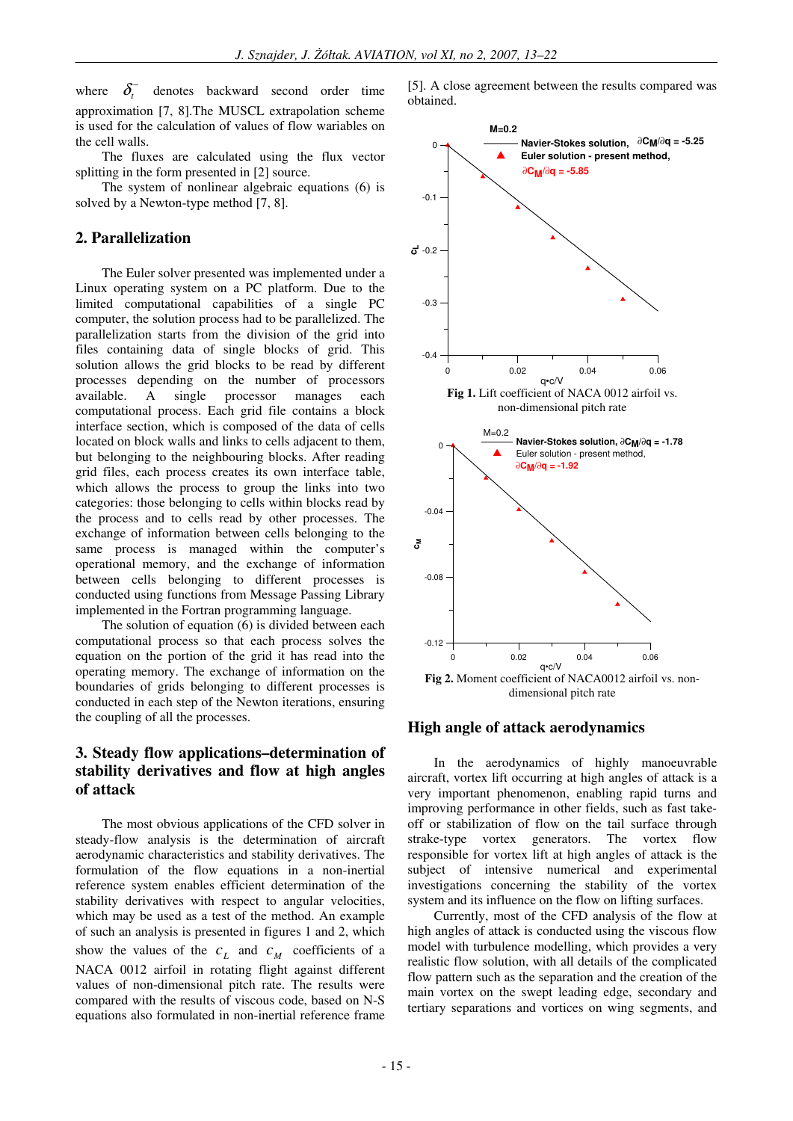where  $\delta_{\cdot}$ <sup>-</sup> denotes backward second order time approximation [7, 8].The MUSCL extrapolation scheme is used for the calculation of values of flow wariables on the cell walls.

The fluxes are calculated using the flux vector splitting in the form presented in [2] source.

The system of nonlinear algebraic equations (6) is solved by a Newton-type method [7, 8].

#### **2. Parallelization**

The Euler solver presented was implemented under a Linux operating system on a PC platform. Due to the limited computational capabilities of a single PC computer, the solution process had to be parallelized. The parallelization starts from the division of the grid into files containing data of single blocks of grid. This solution allows the grid blocks to be read by different processes depending on the number of processors available. A single processor manages each computational process. Each grid file contains a block interface section, which is composed of the data of cells located on block walls and links to cells adjacent to them, but belonging to the neighbouring blocks. After reading grid files, each process creates its own interface table, which allows the process to group the links into two categories: those belonging to cells within blocks read by the process and to cells read by other processes. The exchange of information between cells belonging to the same process is managed within the computer's operational memory, and the exchange of information between cells belonging to different processes is conducted using functions from Message Passing Library implemented in the Fortran programming language.

The solution of equation (6) is divided between each computational process so that each process solves the equation on the portion of the grid it has read into the operating memory. The exchange of information on the boundaries of grids belonging to different processes is conducted in each step of the Newton iterations, ensuring the coupling of all the processes.

## **3. Steady flow applications–determination of stability derivatives and flow at high angles of attack**

The most obvious applications of the CFD solver in steady-flow analysis is the determination of aircraft aerodynamic characteristics and stability derivatives. The formulation of the flow equations in a non-inertial reference system enables efficient determination of the stability derivatives with respect to angular velocities, which may be used as a test of the method. An example of such an analysis is presented in figures 1 and 2, which show the values of the  $c_L$  and  $c_M$  coefficients of a NACA 0012 airfoil in rotating flight against different values of non-dimensional pitch rate. The results were compared with the results of viscous code, based on N-S equations also formulated in non-inertial reference frame





#### **High angle of attack aerodynamics**

In the aerodynamics of highly manoeuvrable aircraft, vortex lift occurring at high angles of attack is a very important phenomenon, enabling rapid turns and improving performance in other fields, such as fast takeoff or stabilization of flow on the tail surface through strake-type vortex generators. The vortex flow responsible for vortex lift at high angles of attack is the subject of intensive numerical and experimental investigations concerning the stability of the vortex system and its influence on the flow on lifting surfaces.

Currently, most of the CFD analysis of the flow at high angles of attack is conducted using the viscous flow model with turbulence modelling, which provides a very realistic flow solution, with all details of the complicated flow pattern such as the separation and the creation of the main vortex on the swept leading edge, secondary and tertiary separations and vortices on wing segments, and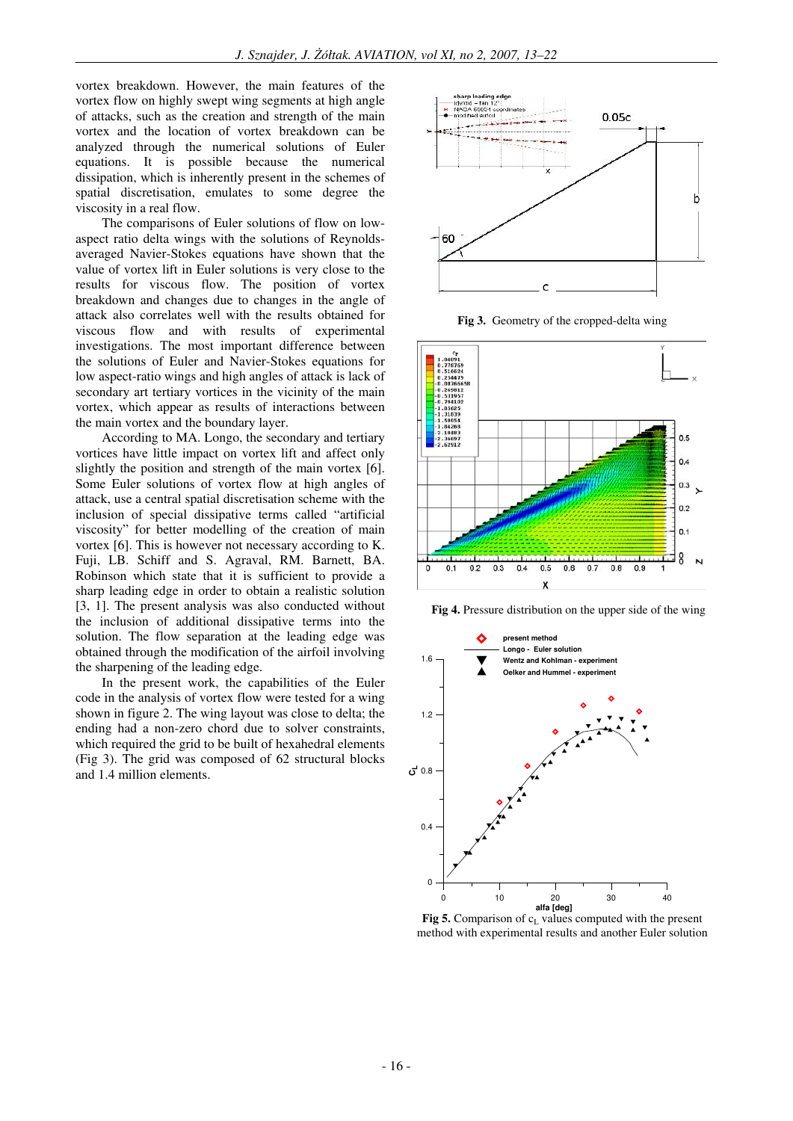vortex breakdown. However, the main features of the vortex flow on highly swept wing segments at high angle of attacks, such as the creation and strength of the main vortex and the location of vortex breakdown can be analyzed through the numerical solutions of Euler equations. It is possible because the numerical dissipation, which is inherently present in the schemes of spatial discretisation, emulates to some degree the viscosity in a real flow.

The comparisons of Euler solutions of flow on lowaspect ratio delta wings with the solutions of Reynoldsaveraged Navier-Stokes equations have shown that the value of vortex lift in Euler solutions is very close to the results for viscous flow. The position of vortex breakdown and changes due to changes in the angle of attack also correlates well with the results obtained for viscous flow and with results of experimental investigations. The most important difference between the solutions of Euler and Navier-Stokes equations for low aspect-ratio wings and high angles of attack is lack of secondary art tertiary vortices in the vicinity of the main vortex, which appear as results of interactions between the main vortex and the boundary layer.

According to MA. Longo, the secondary and tertiary vortices have little impact on vortex lift and affect only slightly the position and strength of the main vortex [6]. Some Euler solutions of vortex flow at high angles of attack, use a central spatial discretisation scheme with the inclusion of special dissipative terms called "artificial viscosity" for better modelling of the creation of main vortex [6]. This is however not necessary according to K. Fuji, LB. Schiff and S. Agraval, RM. Barnett, BA. Robinson which state that it is sufficient to provide a sharp leading edge in order to obtain a realistic solution [3, 1]. The present analysis was also conducted without the inclusion of additional dissipative terms into the solution. The flow separation at the leading edge was obtained through the modification of the airfoil involving the sharpening of the leading edge.

In the present work, the capabilities of the Euler code in the analysis of vortex flow were tested for a wing shown in figure 2. The wing layout was close to delta; the ending had a non-zero chord due to solver constraints, which required the grid to be built of hexahedral elements (Fig 3). The grid was composed of 62 structural blocks and 1.4 million elements.



**Fig 3.** Geometry of the cropped-delta wing



**Fig 4.** Pressure distribution on the upper side of the wing



**Fig 5.** Comparison of  $c<sub>L</sub>$  values computed with the present method with experimental results and another Euler solution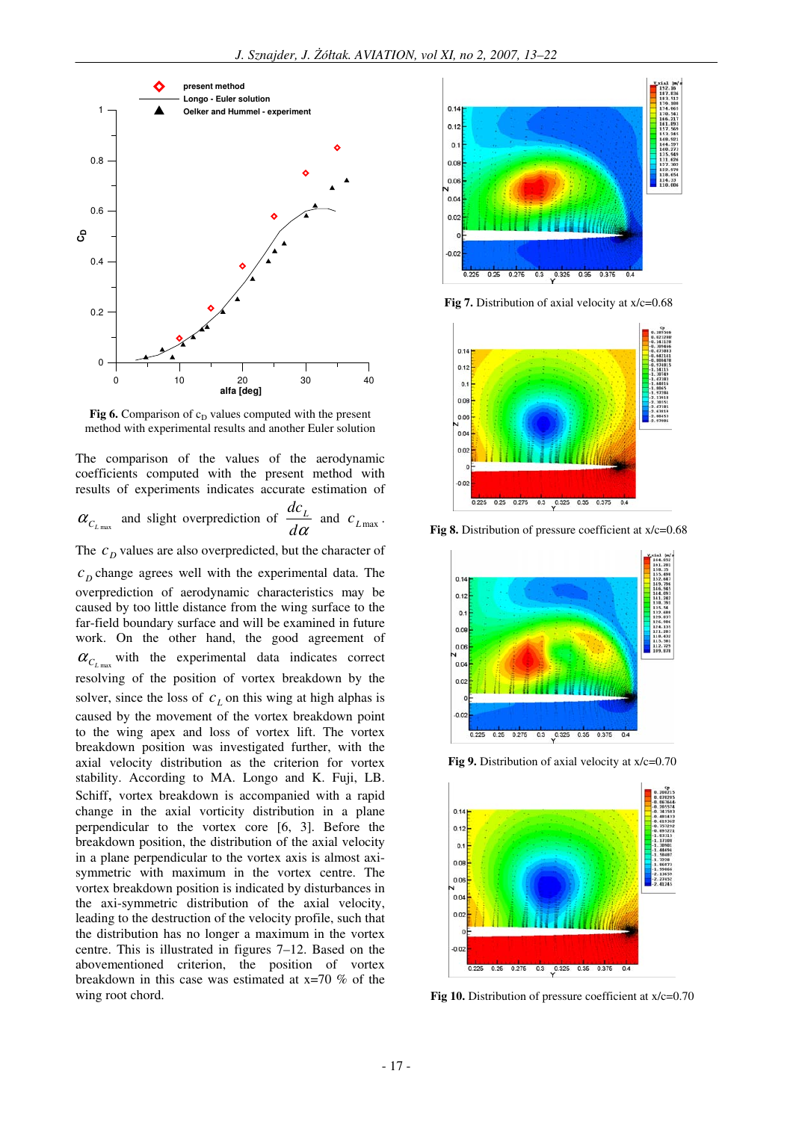

**Fig 6.** Comparison of  $c_D$  values computed with the present method with experimental results and another Euler solution

The comparison of the values of the aerodynamic coefficients computed with the present method with results of experiments indicates accurate estimation of

$$
\alpha_{C_{L_{\text{max}}}}
$$
 and slight overprediction of  $\frac{dc_L}{d\alpha}$  and  $c_{L_{\text{max}}}$ .

The  $c<sub>D</sub>$  values are also overpredicted, but the character of

 $c<sub>D</sub>$  change agrees well with the experimental data. The overprediction of aerodynamic characteristics may be caused by too little distance from the wing surface to the far-field boundary surface and will be examined in future work. On the other hand, the good agreement of  $\alpha_{C_{L_{\text{max}}}}$  with the experimental data indicates correct resolving of the position of vortex breakdown by the solver, since the loss of  $c<sub>L</sub>$  on this wing at high alphas is caused by the movement of the vortex breakdown point to the wing apex and loss of vortex lift. The vortex breakdown position was investigated further, with the axial velocity distribution as the criterion for vortex stability. According to MA. Longo and K. Fuji, LB. Schiff, vortex breakdown is accompanied with a rapid change in the axial vorticity distribution in a plane perpendicular to the vortex core [6, 3]. Before the breakdown position, the distribution of the axial velocity in a plane perpendicular to the vortex axis is almost axisymmetric with maximum in the vortex centre. The vortex breakdown position is indicated by disturbances in the axi-symmetric distribution of the axial velocity, leading to the destruction of the velocity profile, such that the distribution has no longer a maximum in the vortex centre. This is illustrated in figures 7–12. Based on the abovementioned criterion, the position of vortex breakdown in this case was estimated at x=70 % of the wing root chord.



**Fig 7.** Distribution of axial velocity at  $x/c=0.68$ 



**Fig 8.** Distribution of pressure coefficient at  $x/c=0.68$ 



**Fig 9.** Distribution of axial velocity at  $x/c=0.70$ 



**Fig 10.** Distribution of pressure coefficient at x/c=0.70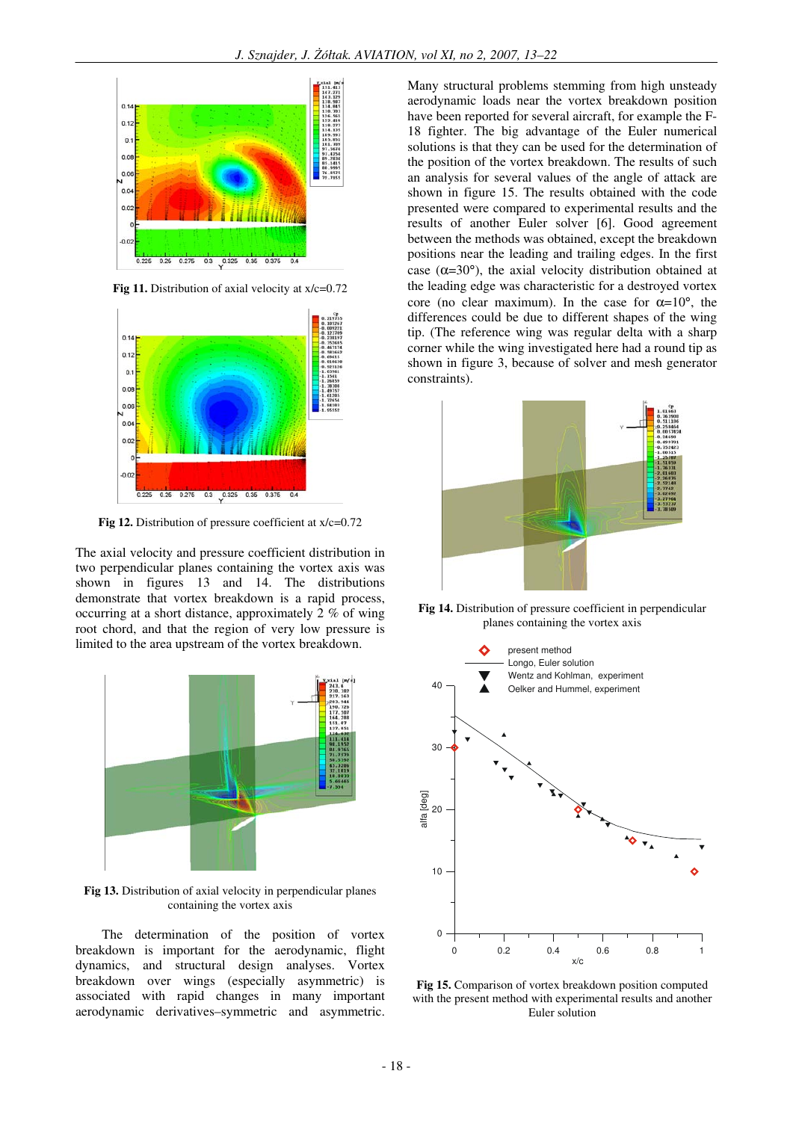

**Fig 11.** Distribution of axial velocity at  $x/c=0.72$ 



**Fig 12.** Distribution of pressure coefficient at x/c=0.72

The axial velocity and pressure coefficient distribution in two perpendicular planes containing the vortex axis was shown in figures 13 and 14. The distributions demonstrate that vortex breakdown is a rapid process, occurring at a short distance, approximately 2 % of wing root chord, and that the region of very low pressure is limited to the area upstream of the vortex breakdown.



**Fig 13.** Distribution of axial velocity in perpendicular planes containing the vortex axis

The determination of the position of vortex breakdown is important for the aerodynamic, flight dynamics, and structural design analyses. Vortex breakdown over wings (especially asymmetric) is associated with rapid changes in many important aerodynamic derivatives–symmetric and asymmetric.

Many structural problems stemming from high unsteady aerodynamic loads near the vortex breakdown position have been reported for several aircraft, for example the F-18 fighter. The big advantage of the Euler numerical solutions is that they can be used for the determination of the position of the vortex breakdown. The results of such an analysis for several values of the angle of attack are shown in figure 15. The results obtained with the code presented were compared to experimental results and the results of another Euler solver [6]. Good agreement between the methods was obtained, except the breakdown positions near the leading and trailing edges. In the first case ( $\alpha$ =30°), the axial velocity distribution obtained at the leading edge was characteristic for a destroyed vortex core (no clear maximum). In the case for  $\alpha=10^{\circ}$ , the differences could be due to different shapes of the wing tip. (The reference wing was regular delta with a sharp corner while the wing investigated here had a round tip as shown in figure 3, because of solver and mesh generator constraints).



**Fig 14.** Distribution of pressure coefficient in perpendicular planes containing the vortex axis



**Fig 15.** Comparison of vortex breakdown position computed with the present method with experimental results and another Euler solution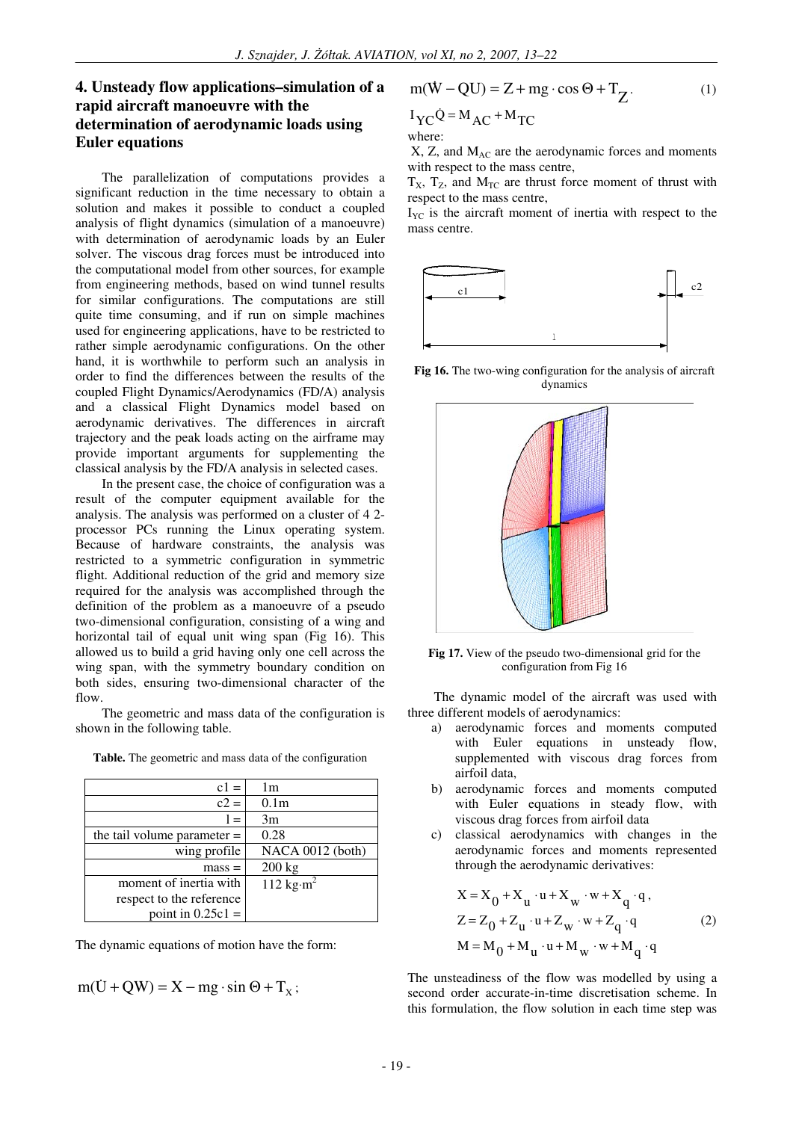## **4. Unsteady flow applications–simulation of a rapid aircraft manoeuvre with the determination of aerodynamic loads using Euler equations**

The parallelization of computations provides a significant reduction in the time necessary to obtain a solution and makes it possible to conduct a coupled analysis of flight dynamics (simulation of a manoeuvre) with determination of aerodynamic loads by an Euler solver. The viscous drag forces must be introduced into the computational model from other sources, for example from engineering methods, based on wind tunnel results for similar configurations. The computations are still quite time consuming, and if run on simple machines used for engineering applications, have to be restricted to rather simple aerodynamic configurations. On the other hand, it is worthwhile to perform such an analysis in order to find the differences between the results of the coupled Flight Dynamics/Aerodynamics (FD/A) analysis and a classical Flight Dynamics model based on aerodynamic derivatives. The differences in aircraft trajectory and the peak loads acting on the airframe may provide important arguments for supplementing the classical analysis by the FD/A analysis in selected cases.

In the present case, the choice of configuration was a result of the computer equipment available for the analysis. The analysis was performed on a cluster of 4 2 processor PCs running the Linux operating system. Because of hardware constraints, the analysis was restricted to a symmetric configuration in symmetric flight. Additional reduction of the grid and memory size required for the analysis was accomplished through the definition of the problem as a manoeuvre of a pseudo two-dimensional configuration, consisting of a wing and horizontal tail of equal unit wing span (Fig 16). This allowed us to build a grid having only one cell across the wing span, with the symmetry boundary condition on both sides, ensuring two-dimensional character of the flow.

The geometric and mass data of the configuration is shown in the following table.

| $c1 =$                        | 1m                            |
|-------------------------------|-------------------------------|
| $c2 =$                        | 0.1 <sub>m</sub>              |
| $l =$                         | 3m                            |
| the tail volume parameter $=$ | 0.28                          |
| wing profile                  | NACA 0012 (both)              |
| $mass =$                      | $200$ kg                      |
| moment of inertia with        | 112 kg $\cdot$ m <sup>2</sup> |
| respect to the reference      |                               |
| point in $0.25c1 =$           |                               |

**Table.** The geometric and mass data of the configuration

The dynamic equations of motion have the form:

$$
m(U + QW) = X - mg \cdot \sin \Theta + T_x;
$$

$$
m(\dot{W} - QU) = Z + mg \cdot \cos \Theta + T_Z.
$$
  
\n<sup>I</sup>YC<sup>Q</sup> = M<sub>AC</sub> + M<sub>TC</sub> (1)  
\nwhere:  
\n<sup>Q</sup> = M<sub>AC</sub> + M<sub>TC</sub>

 $X$ ,  $Z$ , and  $M<sub>AC</sub>$  are the aerodynamic forces and moments with respect to the mass centre,

 $T_x$ ,  $T_z$ , and  $M_{TC}$  are thrust force moment of thrust with respect to the mass centre,

 $I_{\text{VC}}$  is the aircraft moment of inertia with respect to the mass centre.



**Fig 16.** The two-wing configuration for the analysis of aircraft dynamics



**Fig 17.** View of the pseudo two-dimensional grid for the configuration from Fig 16

The dynamic model of the aircraft was used with three different models of aerodynamics:

- a) aerodynamic forces and moments computed with Euler equations in unsteady flow, supplemented with viscous drag forces from airfoil data,
- b) aerodynamic forces and moments computed with Euler equations in steady flow, with viscous drag forces from airfoil data
- c) classical aerodynamics with changes in the aerodynamic forces and moments represented through the aerodynamic derivatives:

$$
X = X_0 + X_u \cdot u + X_w \cdot w + X_q \cdot q,
$$
  
\n
$$
Z = Z_0 + Z_u \cdot u + Z_w \cdot w + Z_q \cdot q
$$
 (2)  
\n
$$
M = M_0 + M_u \cdot u + M_w \cdot w + M_q \cdot q
$$

The unsteadiness of the flow was modelled by using a second order accurate-in-time discretisation scheme. In this formulation, the flow solution in each time step was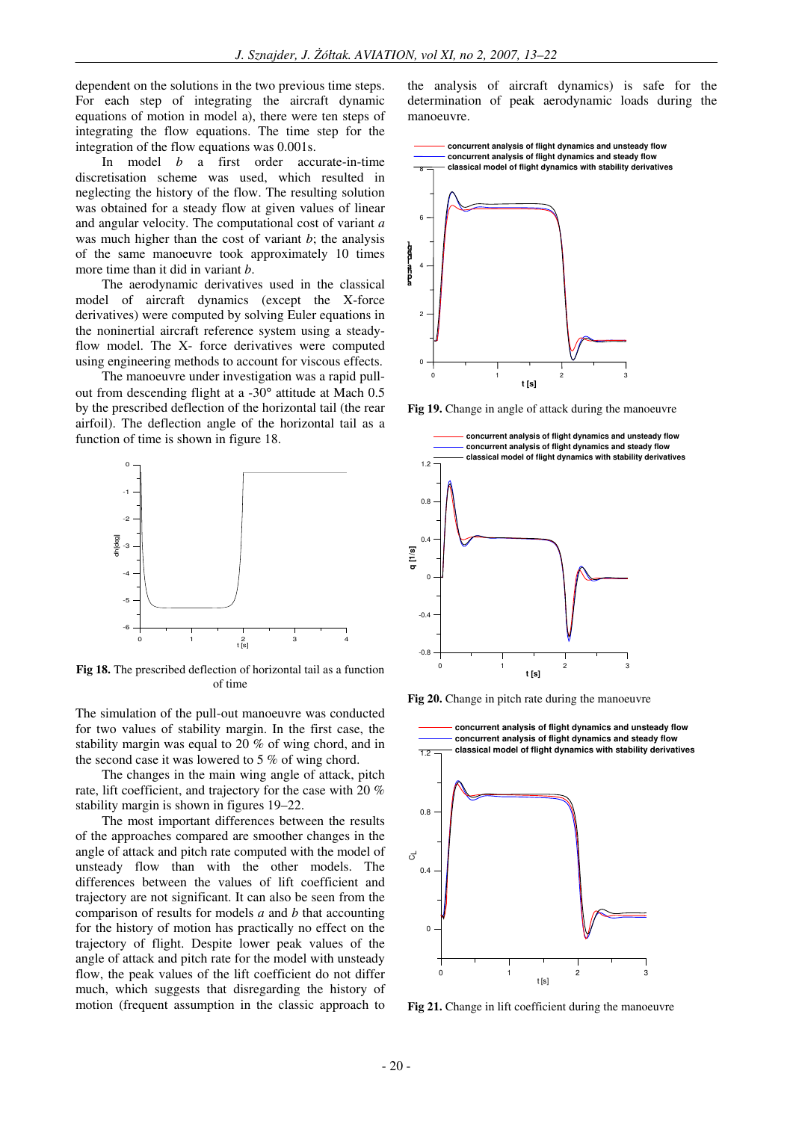dependent on the solutions in the two previous time steps. For each step of integrating the aircraft dynamic equations of motion in model a), there were ten steps of integrating the flow equations. The time step for the integration of the flow equations was 0.001s.

In model *b* a first order accurate-in-time discretisation scheme was used, which resulted in neglecting the history of the flow. The resulting solution was obtained for a steady flow at given values of linear and angular velocity. The computational cost of variant *a* was much higher than the cost of variant *b*; the analysis of the same manoeuvre took approximately 10 times more time than it did in variant *b*.

The aerodynamic derivatives used in the classical model of aircraft dynamics (except the X-force derivatives) were computed by solving Euler equations in the noninertial aircraft reference system using a steadyflow model. The X- force derivatives were computed using engineering methods to account for viscous effects.

The manoeuvre under investigation was a rapid pullout from descending flight at a -30° attitude at Mach 0.5 by the prescribed deflection of the horizontal tail (the rear airfoil). The deflection angle of the horizontal tail as a function of time is shown in figure 18.



**Fig 18.** The prescribed deflection of horizontal tail as a function of time

The simulation of the pull-out manoeuvre was conducted for two values of stability margin. In the first case, the stability margin was equal to 20 % of wing chord, and in the second case it was lowered to 5 % of wing chord.

The changes in the main wing angle of attack, pitch rate, lift coefficient, and trajectory for the case with 20 % stability margin is shown in figures 19–22.

The most important differences between the results of the approaches compared are smoother changes in the angle of attack and pitch rate computed with the model of unsteady flow than with the other models. The differences between the values of lift coefficient and trajectory are not significant. It can also be seen from the comparison of results for models *a* and *b* that accounting for the history of motion has practically no effect on the trajectory of flight. Despite lower peak values of the angle of attack and pitch rate for the model with unsteady flow, the peak values of the lift coefficient do not differ much, which suggests that disregarding the history of motion (frequent assumption in the classic approach to

the analysis of aircraft dynamics) is safe for the determination of peak aerodynamic loads during the manoeuvre.



**Fig 19.** Change in angle of attack during the manoeuvre



**Fig 20.** Change in pitch rate during the manoeuvre



**Fig 21.** Change in lift coefficient during the manoeuvre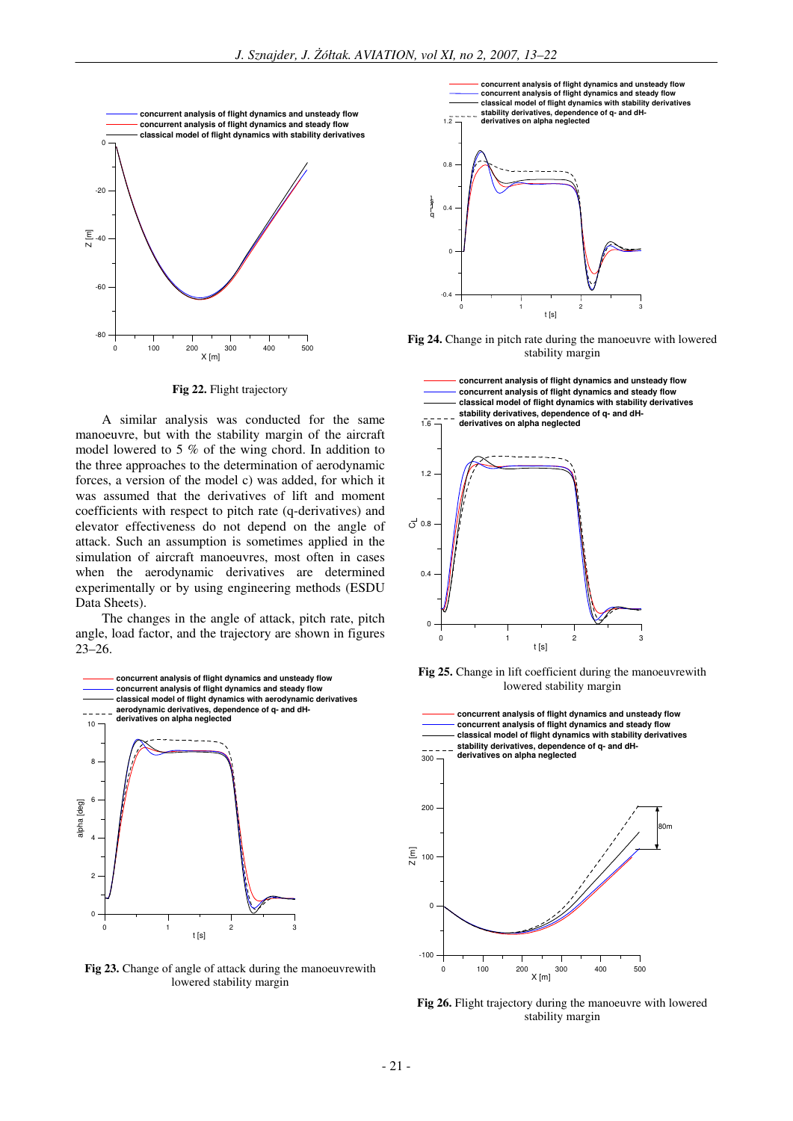

**Fig 22.** Flight trajectory

A similar analysis was conducted for the same manoeuvre, but with the stability margin of the aircraft model lowered to 5 % of the wing chord. In addition to the three approaches to the determination of aerodynamic forces, a version of the model c) was added, for which it was assumed that the derivatives of lift and moment coefficients with respect to pitch rate (q-derivatives) and elevator effectiveness do not depend on the angle of attack. Such an assumption is sometimes applied in the simulation of aircraft manoeuvres, most often in cases when the aerodynamic derivatives are determined experimentally or by using engineering methods (ESDU Data Sheets).

The changes in the angle of attack, pitch rate, pitch angle, load factor, and the trajectory are shown in figures 23–26.



**Fig 23.** Change of angle of attack during the manoeuvrewith lowered stability margin



**Fig 24.** Change in pitch rate during the manoeuvre with lowered stability margin



**Fig 25.** Change in lift coefficient during the manoeuvrewith lowered stability margin



Fig 26. Flight trajectory during the manoeuvre with lowered stability margin